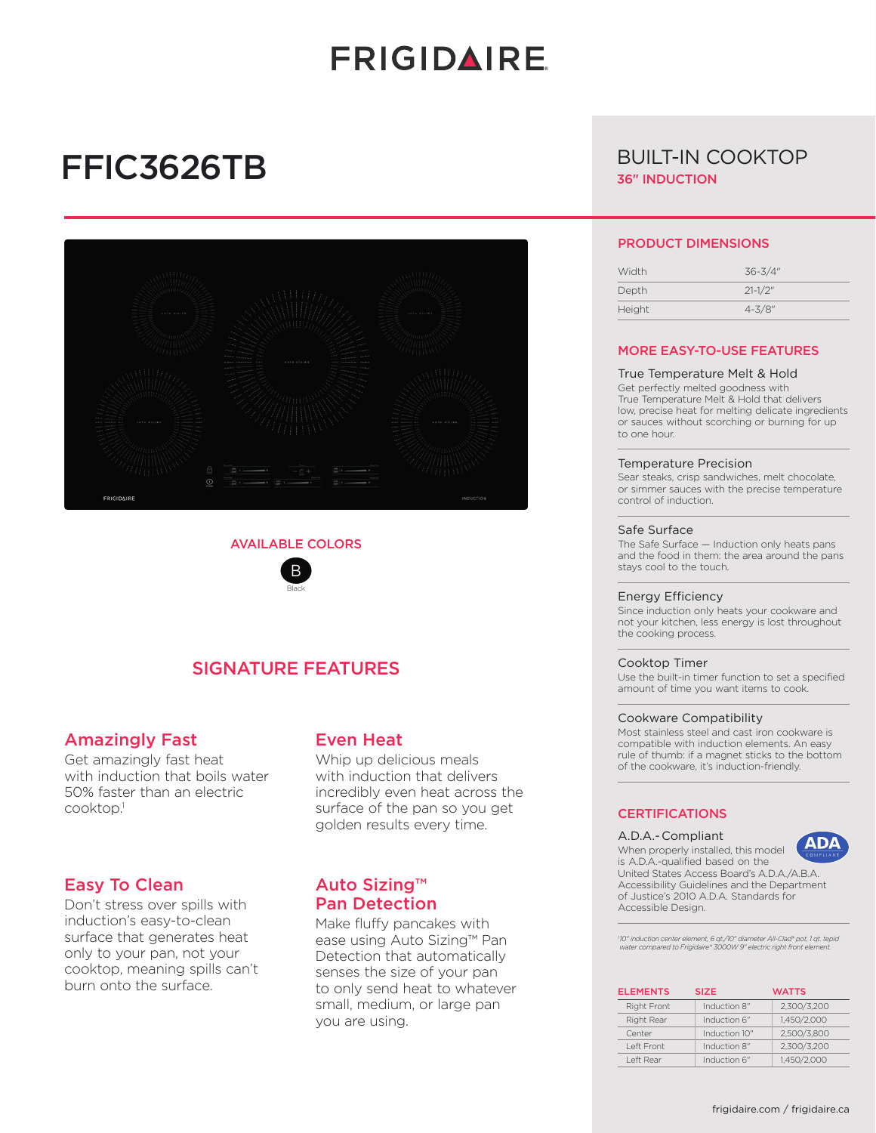# **FRIGIDAIRE**

# FFIC3626TB



### AVAILABLE COLORS



## SIGNATURE FEATURES

### Amazingly Fast

Get amazingly fast heat with induction that boils water 50% faster than an electric cooktop.1

## Easy To Clean

Don't stress over spills with induction's easy-to-clean surface that generates heat only to your pan, not your cooktop, meaning spills can't burn onto the surface.

## Even Heat

Whip up delicious meals with induction that delivers incredibly even heat across the surface of the pan so you get golden results every time.

## Auto Sizing™ Pan Detection

Make fluffy pancakes with ease using Auto Sizing™ Pan Detection that automatically senses the size of your pan to only send heat to whatever small, medium, or large pan you are using.

## BUILT-IN COOKTOP 36" INDUCTION

#### PRODUCT DIMENSIONS

| Width  | $36 - 3/4"$  |
|--------|--------------|
| Depth  | $21 - 1/2$ " |
| Height | $4 - 3/8"$   |

### MORE EASY-TO-USE FEATURES

#### True Temperature Melt & Hold

Get perfectly melted goodness with True Temperature Melt & Hold that delivers low, precise heat for melting delicate ingredients or sauces without scorching or burning for up to one hour.

#### Temperature Precision

Sear steaks, crisp sandwiches, melt chocolate, or simmer sauces with the precise temperature control of induction.

#### Safe Surface

The Safe Surface — Induction only heats pans and the food in them: the area around the pans stays cool to the touch.

#### Energy Efficiency

Since induction only heats your cookware and not your kitchen, less energy is lost throughout the cooking process.

#### Cooktop Timer

Use the built-in timer function to set a specified amount of time you want items to cook.

#### Cookware Compatibility

Most stainless steel and cast iron cookware is compatible with induction elements. An easy rule of thumb: if a magnet sticks to the bottom of the cookware, it's induction-friendly.

## **CERTIFICATIONS**

#### A.D.A.- Compliant

AD,

When properly installed, this model is A.D.A.-qualified based on the United States Access Board's A.D.A./A.B.A. Accessibility Guidelines and the Department of Justice's 2010 A.D.A. Standards for Accessible Design.

*1 10" induction center element, 6 qt./10" diameter All-Clad® pot, 1 qt. tepid water compared to Frigidaire® 3000W 9" electric right front element.*

| <b>ELEMENTS</b>    | <b>SIZE</b>   | <b>WATTS</b> |
|--------------------|---------------|--------------|
| <b>Right Front</b> | Induction 8"  | 2,300/3,200  |
| Right Rear         | Induction 6"  | 1,450/2,000  |
| Center             | Induction 10" | 2,500/3,800  |
| Left Front         | Induction 8"  | 2.300/3.200  |
| Left Rear          | Induction 6"  | 1.450/2.000  |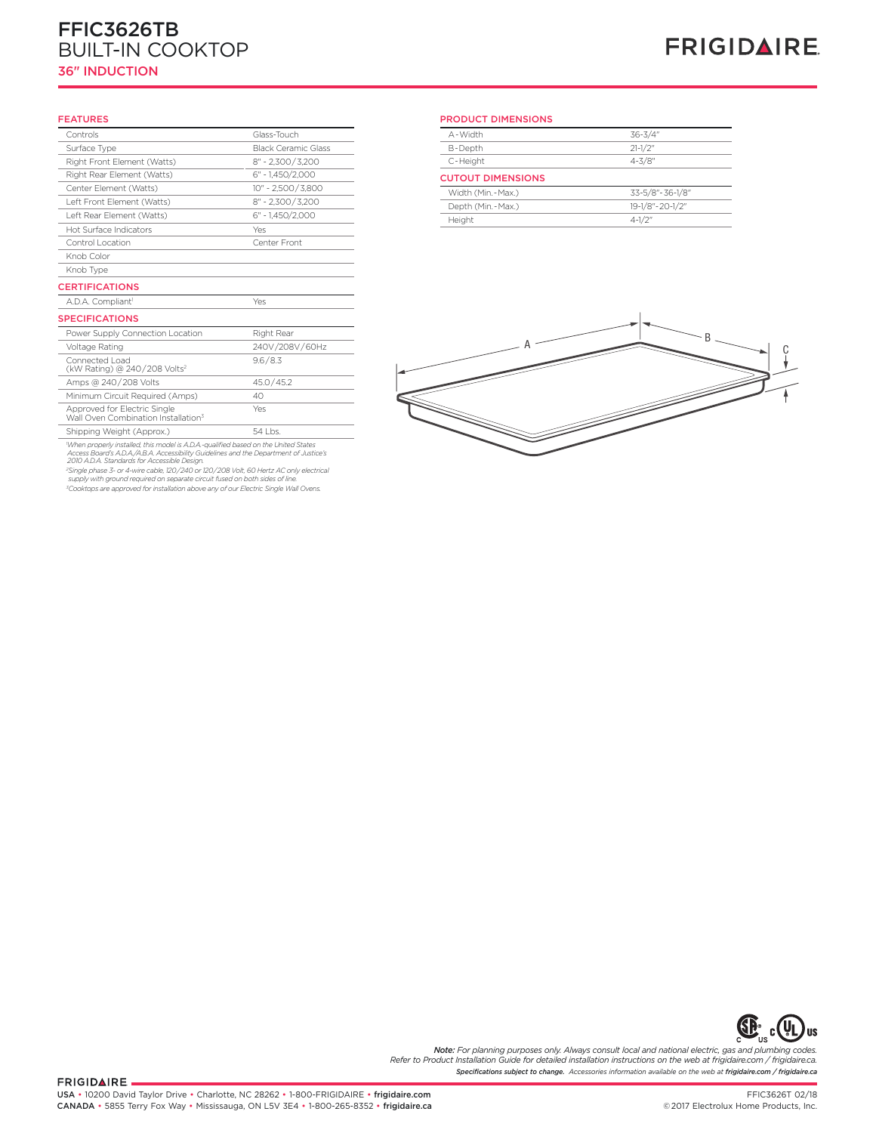#### **Frigidaire Baseline** FFIC3626TB BUILT-IN COOKTOP 36" INDUCTION

## **FRIGIDAIRE**

#### FEATURES

| Controls                                                                        | Glass-Touch                |
|---------------------------------------------------------------------------------|----------------------------|
| Surface Type                                                                    | <b>Black Ceramic Glass</b> |
| Right Front Element (Watts)                                                     | $8'' - 2,300 / 3,200$      |
| Right Rear Element (Watts)                                                      | $6" - 1.450/2.000$         |
| Center Element (Watts)                                                          | 10" - 2.500/3.800          |
| Left Front Element (Watts)                                                      | $8" - 2,300 / 3,200$       |
| Left Rear Element (Watts)                                                       | 6" - 1.450/2.000           |
| Hot Surface Indicators                                                          | Yes                        |
| Control Location                                                                | Center Front               |
| Knob Color                                                                      |                            |
| Knob Type                                                                       |                            |
| <b>CERTIFICATIONS</b>                                                           |                            |
| A.D.A. Compliant <sup>1</sup>                                                   | Yes                        |
| <b>SPECIFICATIONS</b>                                                           |                            |
| Power Supply Connection Location                                                | Right Rear                 |
| Voltage Rating                                                                  | 240V/208V/60Hz             |
| Connected Load<br>(kW Rating) @ 240/208 Volts <sup>2</sup>                      | 9.6 / 8.3                  |
| Amps @ 240/208 Volts                                                            | 45.0/45.2                  |
| Minimum Circuit Required (Amps)                                                 | 40                         |
| Approved for Electric Single<br>Wall Oven Combination Installation <sup>3</sup> | Yes                        |
| Shipping Weight (Approx.)                                                       | $54$ l bs.                 |

54 Lbs. 54<br>When properly installed, this model is A.D.A.-qualified based on the United States<br>Access Board's A.D.A./A.B.A. Accessibility Guidelines and the Department of Justice's<br>2010 A.D.A. Standards for Accessible Desig

*3 Cooktops are approved for installation above any of our Electric Single Wall Ovens.*

#### PRODUCT DIMENSIONS

| A - Width                | $36 - 3/4"$     |
|--------------------------|-----------------|
| B-Depth                  | $21-1/2"$       |
| C-Height                 | $4 - 3/8"$      |
| <b>CUTOUT DIMENSIONS</b> |                 |
| Width (Min.-Max.)        | 33-5/8"-36-1/8" |
| Depth (Min. - Max.)      | 19-1/8"-20-1/2" |
| Height                   | $4 - 1/2$ "     |





*Specifications subject to change. Accessories information available on the web at frigidaire.com / frigidaire.ca Note: For planning purposes only. Always consult local and national electric, gas and plumbing codes. Refer to Product Installation Guide for detailed installation instructions on the web at frigidaire.com / frigidaire.ca.*